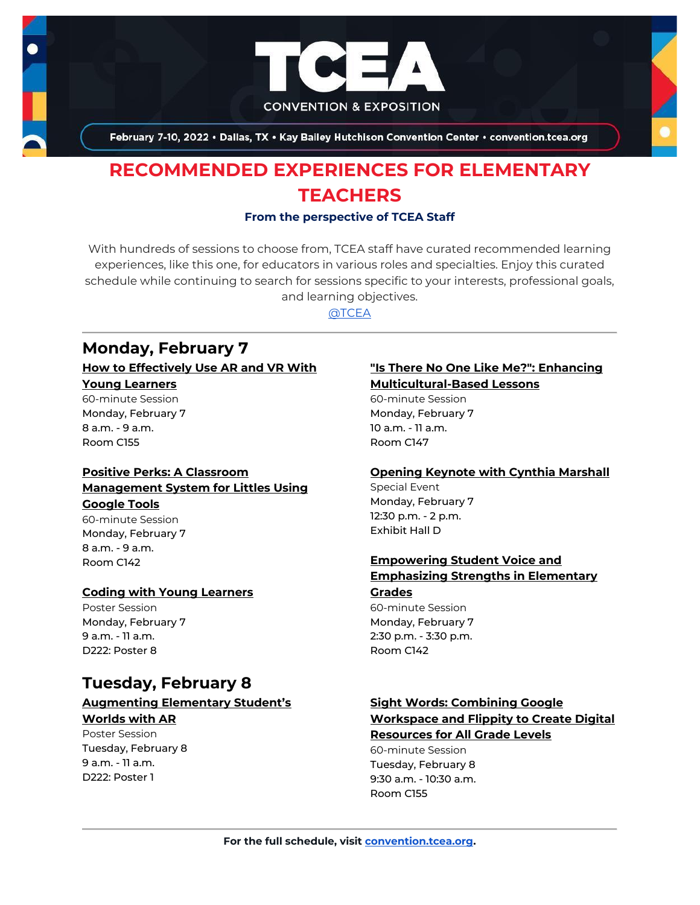

February 7-10, 2022 . Dallas, TX . Kay Bailey Hutchison Convention Center . convention.tcea.org

# **RECOMMENDED EXPERIENCES FOR ELEMENTARY TEACHERS**

### **From the perspective of TCEA Staff**

With hundreds of sessions to choose from, TCEA staff have curated recommended learning experiences, like this one, for educators in various roles and specialties. Enjoy this curated schedule while continuing to search for sessions specific to your interests, professional goals, and learning objectives.

[@TCEA](https://twitter.com/TCEA)

# **Monday, February 7**

### **[How to Effectively Use AR and VR With](https://register.tcea.org/2022/session_list.cfm?session_key=8E876914-F04D-A206-2B64-DE1E3A334D6E&session_date=Monday,%20Feb%2007,%202022)**

### **[Young Learners](https://register.tcea.org/2022/session_list.cfm?session_key=8E876914-F04D-A206-2B64-DE1E3A334D6E&session_date=Monday,%20Feb%2007,%202022)**

60-minute Session Monday, February 7 8 a.m. - 9 a.m. Room C155

## **[Positive Perks: A Classroom](https://register.tcea.org/2022/session_list.cfm?session_key=023EA16A-F04D-A206-2B64-AA3F6701EDBA&session_date=Monday,%20Feb%2007,%202022)  [Management System for Littles Using](https://register.tcea.org/2022/session_list.cfm?session_key=023EA16A-F04D-A206-2B64-AA3F6701EDBA&session_date=Monday,%20Feb%2007,%202022)**

### **[Google Tools](https://register.tcea.org/2022/session_list.cfm?session_key=023EA16A-F04D-A206-2B64-AA3F6701EDBA&session_date=Monday,%20Feb%2007,%202022)**

60-minute Session Monday, February 7 8 a.m. - 9 a.m. Room C142

### **[Coding with Young Learners](https://register.tcea.org/2022/session_list.cfm?session_key=0233A97D-F04D-A206-2B64-D4C02CC40F00&session_date=Monday,%20Feb%2007,%202022)**

Poster Session Monday, February 7 9 a.m. - 11 a.m. D222: Poster 8

# **Tuesday, February 8**

### **[Augmenting Elementary Student's](https://register.tcea.org/2022/session_list.cfm?session_key=02316047-F04D-A206-2B64-BDE91B090D5D&session_date=Tuesday,%20Feb%2008,%202022)  [Worlds with AR](https://register.tcea.org/2022/session_list.cfm?session_key=02316047-F04D-A206-2B64-BDE91B090D5D&session_date=Tuesday,%20Feb%2008,%202022)**

Poster Session Tuesday, February 8 9 a.m. - 11 a.m. D222: Poster 1

### **["Is There No One Like Me?": Enhancing](https://register.tcea.org/2022/session_list.cfm?session_key=022FE594-F04D-A206-2B64-C689E0C92F61&session_date=Monday,%20Feb%2007,%202022)  [Multicultural-Based Lessons](https://register.tcea.org/2022/session_list.cfm?session_key=022FE594-F04D-A206-2B64-C689E0C92F61&session_date=Monday,%20Feb%2007,%202022)**

60-minute Session Monday, February 7 10 a.m. - 11 a.m. Room C147

### **[Opening Keynote with Cynthia Marshall](https://register.tcea.org/2022/session_list.cfm?session_key=5F0745B8-F04D-A206-2B64-0D4631096E34&session_date=Monday,%20Feb%2007,%202022)**

Special Event Monday, February 7 12:30 p.m. - 2 p.m. Exhibit Hall D

## **[Empowering Student Voice and](https://register.tcea.org/2022/session_list.cfm?session_key=023712E3-F04D-A206-2B64-F3D0B430D697&session_date=Monday,%20Feb%2007,%202022)  [Emphasizing Strengths in Elementary](https://register.tcea.org/2022/session_list.cfm?session_key=023712E3-F04D-A206-2B64-F3D0B430D697&session_date=Monday,%20Feb%2007,%202022)**

### **[Grades](https://register.tcea.org/2022/session_list.cfm?session_key=023712E3-F04D-A206-2B64-F3D0B430D697&session_date=Monday,%20Feb%2007,%202022)**

60-minute Session Monday, February 7 2:30 p.m. - 3:30 p.m. Room C142

## **[Sight Words: Combining Google](https://register.tcea.org/2022/session_list.cfm?session_key=02408B40-F04D-A206-2B64-5FEFBFB4E6AC&session_date=Tuesday,%20Feb%2008,%202022)  [Workspace and Flippity to Create Digital](https://register.tcea.org/2022/session_list.cfm?session_key=02408B40-F04D-A206-2B64-5FEFBFB4E6AC&session_date=Tuesday,%20Feb%2008,%202022)**

## **[Resources for All Grade Levels](https://register.tcea.org/2022/session_list.cfm?session_key=02408B40-F04D-A206-2B64-5FEFBFB4E6AC&session_date=Tuesday,%20Feb%2008,%202022)**

60-minute Session Tuesday, February 8 9:30 a.m. - 10:30 a.m. Room C155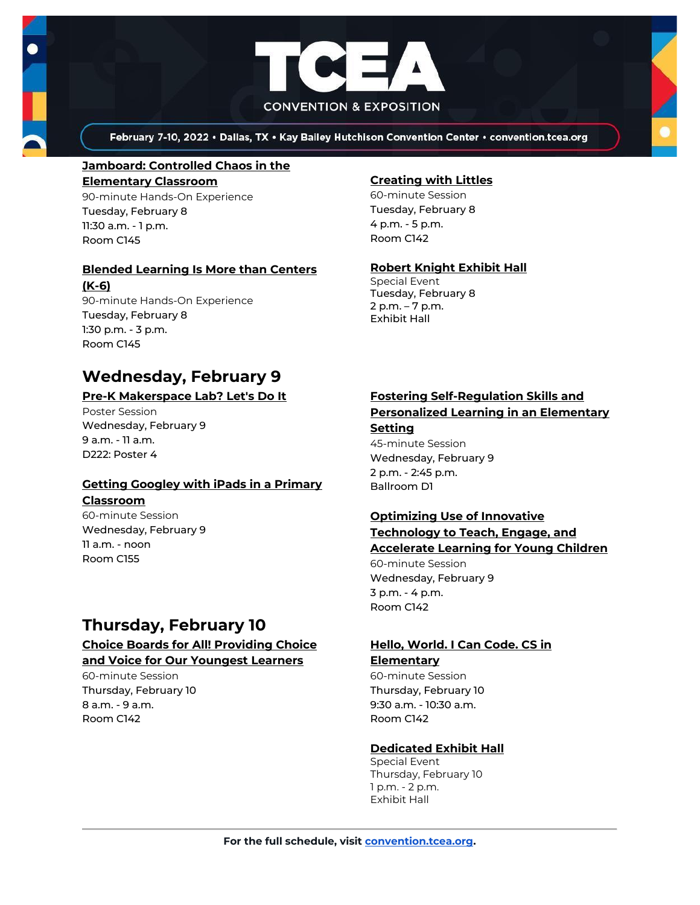



February 7-10, 2022 • Dallas, TX • Kay Bailey Hutchison Convention Center • convention.tcea.org

# **[Jamboard: Controlled Chaos in the](https://register.tcea.org/2022/session_list.cfm?session_key=023BC9EF-F04D-A206-2B64-91BD43FA8B2D&session_date=Tuesday,%20Feb%2008,%202022)**

**[Elementary Classroom](https://register.tcea.org/2022/session_list.cfm?session_key=023BC9EF-F04D-A206-2B64-91BD43FA8B2D&session_date=Tuesday,%20Feb%2008,%202022)** 90-minute Hands-On Experience Tuesday, February 8 11:30 a.m. - 1 p.m. Room C145

### **[Blended Learning Is More than Centers](https://register.tcea.org/2022/session_list.cfm?session_key=0231E9D8-F04D-A206-2B64-362F7C311B4A&session_date=Tuesday,%20Feb%2008,%202022)**

**[\(K-6\)](https://register.tcea.org/2022/session_list.cfm?session_key=0231E9D8-F04D-A206-2B64-362F7C311B4A&session_date=Tuesday,%20Feb%2008,%202022)**

90-minute Hands-On Experience Tuesday, February 8 1:30 p.m. - 3 p.m. Room C145

# **Wednesday, February 9**

## **[Pre-K Makerspace Lab? Let's Do It](https://register.tcea.org/2022/session_list.cfm?session_key=023EDA23-F04D-A206-2B64-8F9B89354AFA&session_date=Wednesday,%20Feb%2009,%202022)**

Poster Session Wednesday, February 9 9 a.m. - 11 a.m. D222: Poster 4

## **[Getting Googley with iPads in a Primary](https://register.tcea.org/2022/session_list.cfm?session_key=023876E2-F04D-A206-2B64-68E0FE0244F7&session_date=Wednesday,%20Feb%2009,%202022)**

### **[Classroom](https://register.tcea.org/2022/session_list.cfm?session_key=023876E2-F04D-A206-2B64-68E0FE0244F7&session_date=Wednesday,%20Feb%2009,%202022)**

60-minute Session Wednesday, February 9 11 a.m. - noon Room C155

# **Thursday, February 10**

## **[Choice Boards for All! Providing Choice](https://register.tcea.org/2022/session_list.cfm?session_key=02333ED0-F04D-A206-2B64-4106F7A4D729&session_date=Thursday,%20Feb%2010,%202022)  [and Voice for Our Youngest Learners](https://register.tcea.org/2022/session_list.cfm?session_key=02333ED0-F04D-A206-2B64-4106F7A4D729&session_date=Thursday,%20Feb%2010,%202022)**

60-minute Session Thursday, February 10 8 a.m. - 9 a.m. Room C142

## **[Creating with Littles](https://register.tcea.org/2022/session_list.cfm?session_key=0234913E-F04D-A206-2B64-3A21577A648D&session_date=Tuesday,%20Feb%2008,%202022)**

60-minute Session Tuesday, February 8 4 p.m. - 5 p.m. Room C142

## **[Robert Knight Exhibit Hall](https://register.tcea.org/2022/session_list.cfm?session_key=61CDF249-F04D-A206-2B64-15D6559D2515&session_date=Tuesday,%20Feb%2008,%202022)**

Special Event Tuesday, February 8 2 p.m. – 7 p.m. Exhibit Hall

### **[Fostering Self-Regulation Skills and](https://register.tcea.org/2022/session_list.cfm?session_key=0237E0E0-F04D-A206-2B64-C9AA418BBD20&session_date=Wednesday,%20Feb%2009,%202022)  [Personalized Learning in an Elementary](https://register.tcea.org/2022/session_list.cfm?session_key=0237E0E0-F04D-A206-2B64-C9AA418BBD20&session_date=Wednesday,%20Feb%2009,%202022)  [Setting](https://register.tcea.org/2022/session_list.cfm?session_key=0237E0E0-F04D-A206-2B64-C9AA418BBD20&session_date=Wednesday,%20Feb%2009,%202022)**

45-minute Session Wednesday, February 9 2 p.m. - 2:45 p.m. Ballroom D1

## **[Optimizing Use of Innovative](https://register.tcea.org/2022/session_list.cfm?session_key=023E18AF-F04D-A206-2B64-D3A8B25A7182&session_date=Wednesday,%20Feb%2009,%202022)  [Technology to Teach, Engage, and](https://register.tcea.org/2022/session_list.cfm?session_key=023E18AF-F04D-A206-2B64-D3A8B25A7182&session_date=Wednesday,%20Feb%2009,%202022)**

### **[Accelerate Learning for Young Children](https://register.tcea.org/2022/session_list.cfm?session_key=023E18AF-F04D-A206-2B64-D3A8B25A7182&session_date=Wednesday,%20Feb%2009,%202022)**

60-minute Session Wednesday, February 9 3 p.m. - 4 p.m. Room C142

## **[Hello, World. I Can Code. CS in](https://register.tcea.org/2022/session_list.cfm?session_key=02398C23-F04D-A206-2B64-557974BB6BE1&session_date=Thursday,%20Feb%2010,%202022)  [Elementary](https://register.tcea.org/2022/session_list.cfm?session_key=02398C23-F04D-A206-2B64-557974BB6BE1&session_date=Thursday,%20Feb%2010,%202022)**

60-minute Session Thursday, February 10 9:30 a.m. - 10:30 a.m. Room C142

## **[Dedicated Exhibit Hall](https://register.tcea.org/2022/session_list.cfm?session_key=61CDD8E6-F04D-A206-2B64-74AAAD8173D7&session_date=Thursday,%20Feb%2010,%202022)**

Special Event Thursday, February 10 1 p.m. - 2 p.m. Exhibit Hall